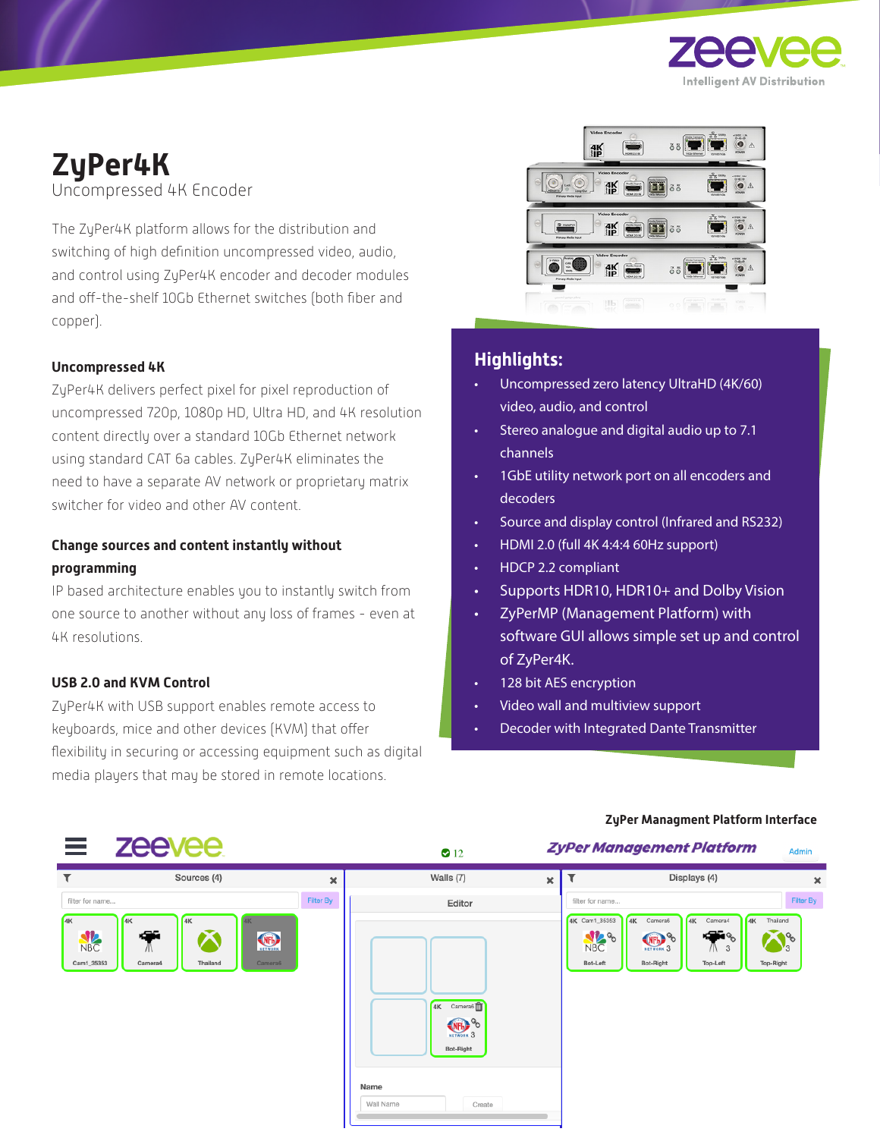

# **ZyPer4K**

Uncompressed 4K Encoder

The ZyPer4K platform allows for the distribution and switching of high definition uncompressed video, audio, and control using ZyPer4K encoder and decoder modules and off-the-shelf 10Gb Ethernet switches (both fiber and copper).

#### **Uncompressed 4K**

ZyPer4K delivers perfect pixel for pixel reproduction of uncompressed 720p, 1080p HD, Ultra HD, and 4K resolution content directly over a standard 10Gb Ethernet network using standard CAT 6a cables. ZyPer4K eliminates the need to have a separate AV network or proprietary matrix switcher for video and other AV content.

#### **Change sources and content instantly without programming**

IP based architecture enables you to instantly switch from one source to another without any loss of frames - even at 4K resolutions.

#### **USB 2.0 and KVM Control**

ZyPer4K with USB support enables remote access to keyboards, mice and other devices (KVM) that offer flexibility in securing or accessing equipment such as digital media players that may be stored in remote locations.



### **Highlights:**

- Uncompressed zero latency UltraHD (4K/60) video, audio, and control
- Stereo analogue and digital audio up to 7.1 channels
- 1GbE utility network port on all encoders and decoders
- Source and display control (Infrared and RS232)
- HDMI 2.0 (full 4K 4:4:4 60Hz support)
- HDCP 2.2 compliant
- Supports HDR10, HDR10+ and Dolby Vision
- ZyPerMP (Management Platform) with software GUI allows simple set up and control of ZyPer4K.
- 128 bit AES encryption
- Video wall and multiview support
- Decoder with Integrated Dante Transmitter



#### **ZyPer Managment Platform Interface**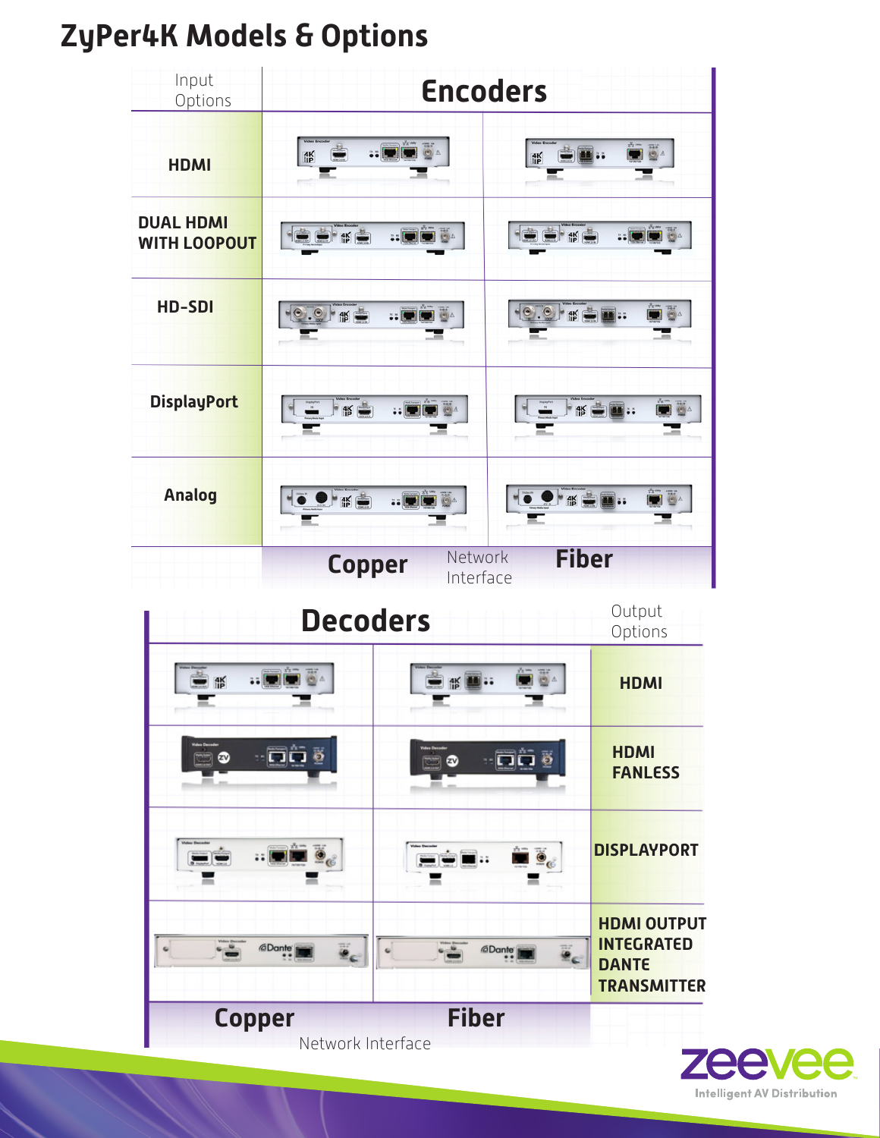## **ZyPer4K Models & Options**



**Copper Fiber** Network Interface